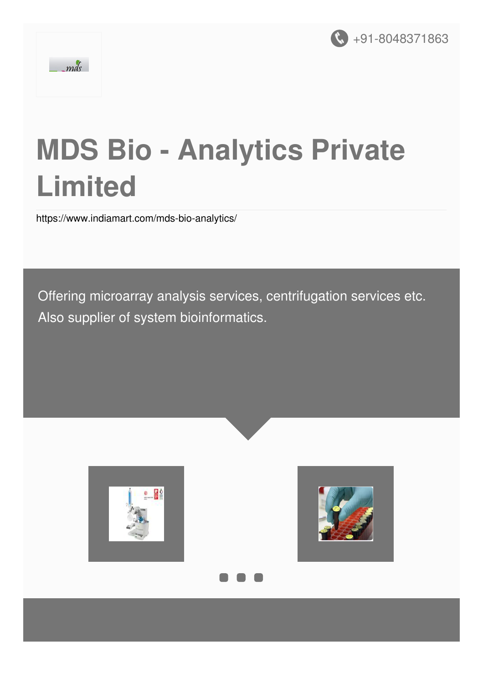



# **MDS Bio - Analytics Private Limited**

<https://www.indiamart.com/mds-bio-analytics/>

Offering microarray analysis services, centrifugation services etc. Also supplier of system bioinformatics.





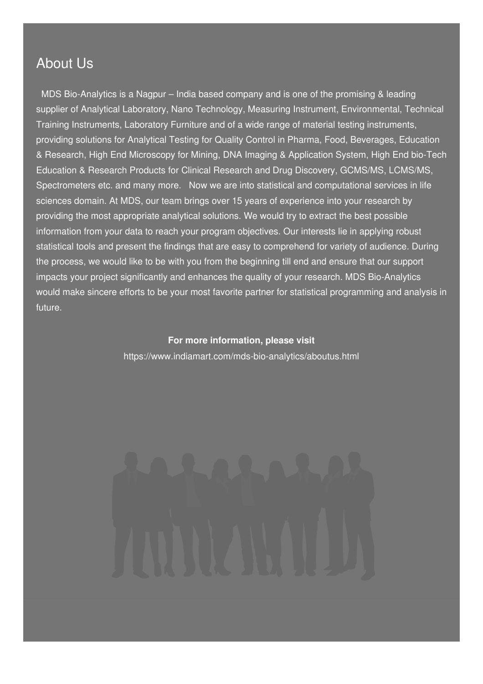### About Us

MDS Bio-Analytics is a Nagpur – India based company and is one of the promising & leading supplier of Analytical Laboratory, Nano Technology, Measuring Instrument, Environmental, Technical Training Instruments, Laboratory Furniture and of a wide range of material testing instruments, providing solutions for Analytical Testing for Quality Control in Pharma, Food, Beverages, Education & Research, High End Microscopy for Mining, DNA Imaging & Application System, High End bio-Tech Education & Research Products for Clinical Research and Drug Discovery, GCMS/MS, LCMS/MS, Spectrometers etc. and many more. Now we are into statistical and computational services in life sciences domain. At MDS, our team brings over 15 years of experience into your research by providing the most appropriate analytical solutions. We would try to extract the best possible information from your data to reach your program objectives. Our interests lie in applying robust statistical tools and present the findings that are easy to comprehend for variety of audience. During the process, we would like to be with you from the beginning till end and ensure that our support impacts your project significantly and enhances the quality of your research. MDS Bio-Analytics would make sincere efforts to be your most favorite partner for statistical programming and analysis in future.

### **For more information, please visit**

<https://www.indiamart.com/mds-bio-analytics/aboutus.html>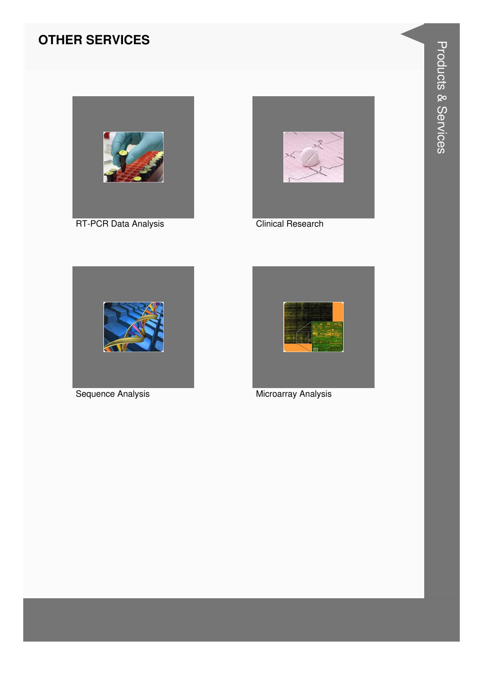### **OTHER SERVICES**





**Clinical Research** 



Sequence Analysis



Microarray Analysis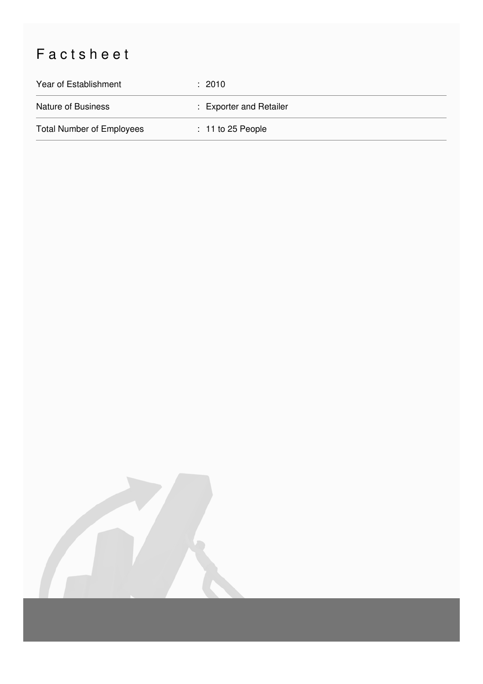## Factsheet

| Year of Establishment            | $\div$ 2010             |
|----------------------------------|-------------------------|
| <b>Nature of Business</b>        | : Exporter and Retailer |
| <b>Total Number of Employees</b> | $: 11$ to 25 People     |